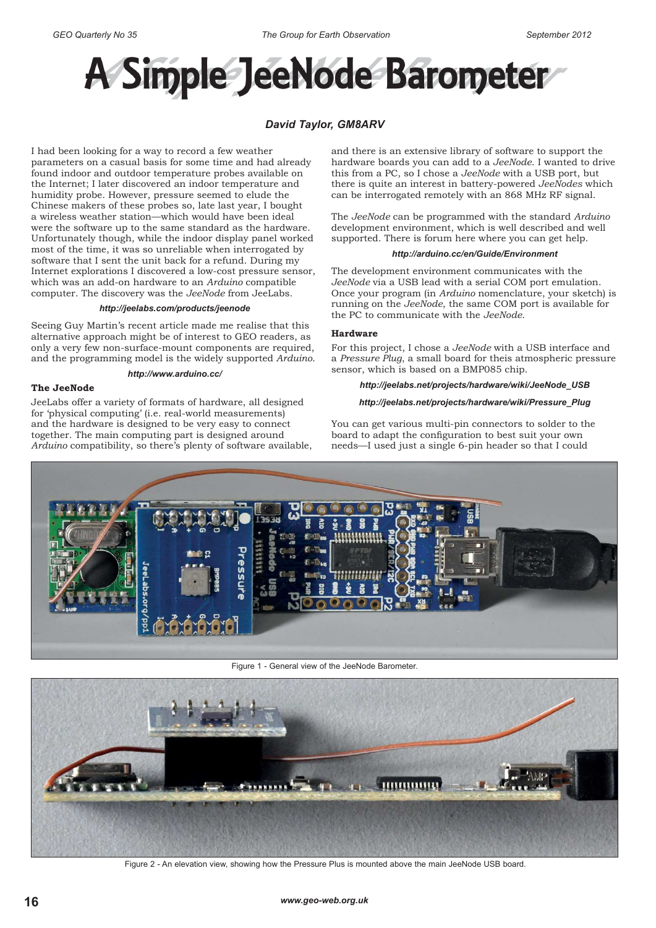

# *David Taylor, GM8ARV*

I had been looking for a way to record a few weather parameters on a casual basis for some time and had already found indoor and outdoor temperature probes available on the Internet; I later discovered an indoor temperature and humidity probe. However, pressure seemed to elude the Chinese makers of these probes so, late last year, I bought a wireless weather station—which would have been ideal were the software up to the same standard as the hardware. Unfortunately though, while the indoor display panel worked most of the time, it was so unreliable when interrogated by software that I sent the unit back for a refund. During my Internet explorations I discovered a low-cost pressure sensor, which was an add-on hardware to an *Arduino* compatible computer. The discovery was the *JeeNode* from JeeLabs.

#### *http://jeelabs.com/products/jeenode*

Seeing Guy Martin's recent article made me realise that this alternative approach might be of interest to GEO readers, as only a very few non-surface-mount components are required, and the programming model is the widely supported *Arduino*.

#### *http://www.arduino.cc/*

#### **The JeeNode**

JeeLabs offer a variety of formats of hardware, all designed for 'physical computing' (i.e. real-world measurements) and the hardware is designed to be very easy to connect together. The main computing part is designed around *Arduino* compatibility, so there's plenty of software available, and there is an extensive library of software to support the hardware boards you can add to a *JeeNode*. I wanted to drive this from a PC, so I chose a *JeeNode* with a USB port, but there is quite an interest in battery-powered *JeeNodes* which can be interrogated remotely with an 868 MHz RF signal.

The *JeeNode* can be programmed with the standard *Arduino* development environment, which is well described and well supported. There is forum here where you can get help.

#### *http://arduino.cc/en/Guide/Environment*

The development environment communicates with the *JeeNode* via a USB lead with a serial COM port emulation. Once your program (in *Arduino* nomenclature, your sketch) is running on the *JeeNode*, the same COM port is available for the PC to communicate with the *JeeNode*.

## **Hardware**

For this project, I chose a *JeeNode* with a USB interface and a *Pressure Plug*, a small board for theis atmospheric pressure sensor, which is based on a BMP085 chip.

### *http://jeelabs.net/projects/hardware/wiki/JeeNode\_USB*

## *http://jeelabs.net/projects/hardware/wiki/Pressure\_Plug*

You can get various multi-pin connectors to solder to the board to adapt the configuration to best suit your own needs—I used just a single 6-pin header so that I could



Figure 1 - General view of the JeeNode Barometer.



Figure 2 - An elevation view, showing how the Pressure Plus is mounted above the main JeeNode USB board.